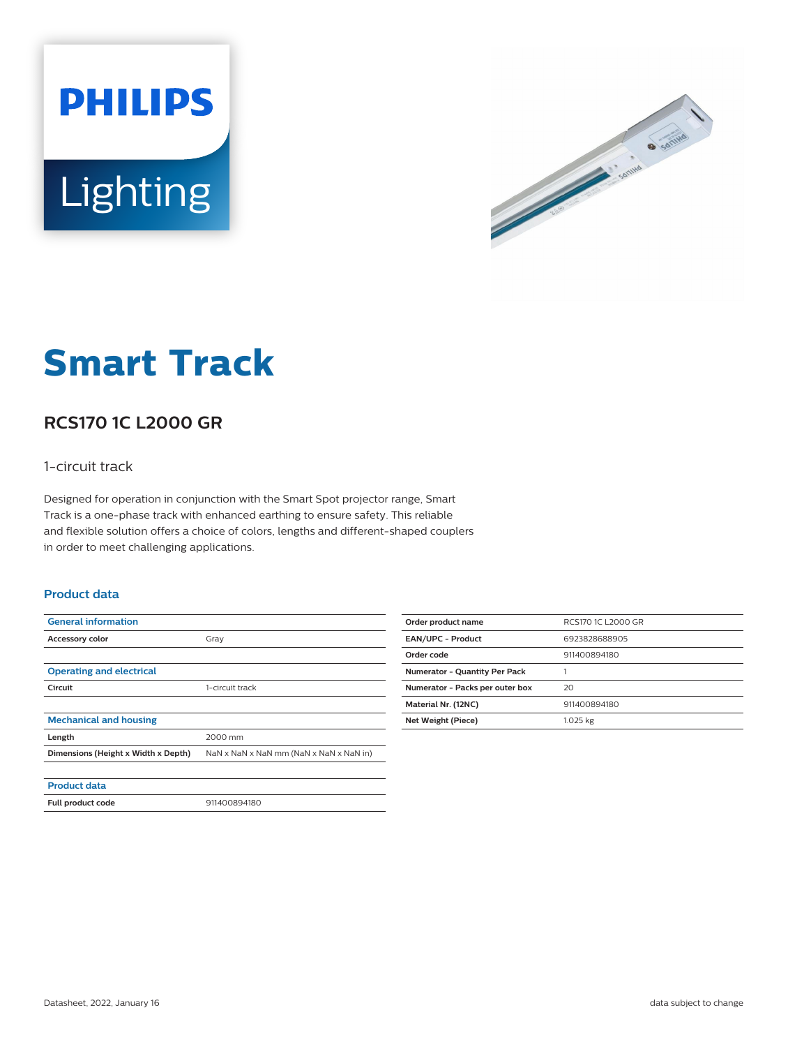



# **Smart Track**

# **RCS170 1C L2000 GR**

### 1-circuit track

Designed for operation in conjunction with the Smart Spot projector range, Smart Track is a one-phase track with enhanced earthing to ensure safety. This reliable and flexible solution offers a choice of colors, lengths and different-shaped couplers in order to meet challenging applications.

#### **Product data**

| <b>General information</b>          |                                         |
|-------------------------------------|-----------------------------------------|
| <b>Accessory color</b>              | Gray                                    |
|                                     |                                         |
| <b>Operating and electrical</b>     |                                         |
| Circuit                             | 1-circuit track                         |
|                                     |                                         |
| <b>Mechanical and housing</b>       |                                         |
| Length                              | 2000 mm                                 |
| Dimensions (Height x Width x Depth) | NaN x NaN x NaN mm (NaN x NaN x NaN in) |
|                                     |                                         |
| <b>Product data</b>                 |                                         |
| Full product code                   | 911400894180                            |

| RCS170 1C L2000 GR |
|--------------------|
| 6923828688905      |
| 911400894180       |
|                    |
| 20                 |
| 911400894180       |
| 1.025 kg           |
|                    |